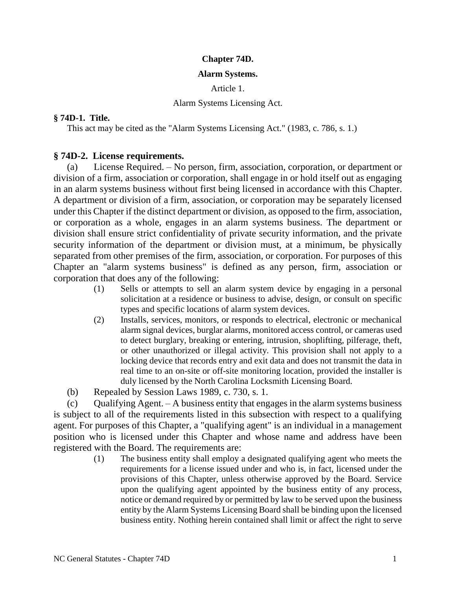## **Chapter 74D.**

## **Alarm Systems.**

Article 1.

## Alarm Systems Licensing Act.

# **§ 74D-1. Title.**

This act may be cited as the "Alarm Systems Licensing Act." (1983, c. 786, s. 1.)

# **§ 74D-2. License requirements.**

(a) License Required. – No person, firm, association, corporation, or department or division of a firm, association or corporation, shall engage in or hold itself out as engaging in an alarm systems business without first being licensed in accordance with this Chapter. A department or division of a firm, association, or corporation may be separately licensed under this Chapter if the distinct department or division, as opposed to the firm, association, or corporation as a whole, engages in an alarm systems business. The department or division shall ensure strict confidentiality of private security information, and the private security information of the department or division must, at a minimum, be physically separated from other premises of the firm, association, or corporation. For purposes of this Chapter an "alarm systems business" is defined as any person, firm, association or corporation that does any of the following:

- (1) Sells or attempts to sell an alarm system device by engaging in a personal solicitation at a residence or business to advise, design, or consult on specific types and specific locations of alarm system devices.
- (2) Installs, services, monitors, or responds to electrical, electronic or mechanical alarm signal devices, burglar alarms, monitored access control, or cameras used to detect burglary, breaking or entering, intrusion, shoplifting, pilferage, theft, or other unauthorized or illegal activity. This provision shall not apply to a locking device that records entry and exit data and does not transmit the data in real time to an on-site or off-site monitoring location, provided the installer is duly licensed by the North Carolina Locksmith Licensing Board.
- (b) Repealed by Session Laws 1989, c. 730, s. 1.

(c) Oualifying Agent.  $-$  A business entity that engages in the alarm systems business is subject to all of the requirements listed in this subsection with respect to a qualifying agent. For purposes of this Chapter, a "qualifying agent" is an individual in a management position who is licensed under this Chapter and whose name and address have been registered with the Board. The requirements are:

> (1) The business entity shall employ a designated qualifying agent who meets the requirements for a license issued under and who is, in fact, licensed under the provisions of this Chapter, unless otherwise approved by the Board. Service upon the qualifying agent appointed by the business entity of any process, notice or demand required by or permitted by law to be served upon the business entity by the Alarm Systems Licensing Board shall be binding upon the licensed business entity. Nothing herein contained shall limit or affect the right to serve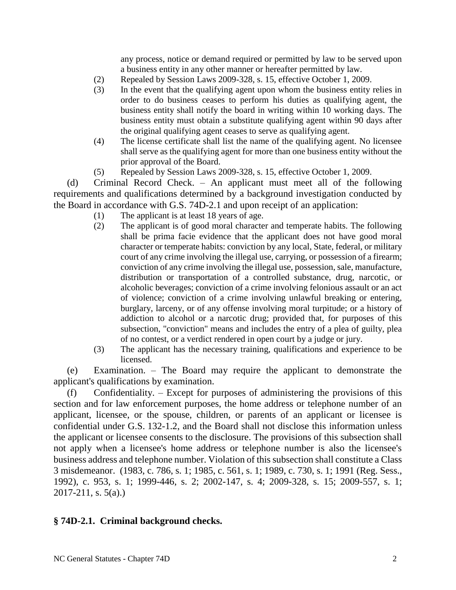any process, notice or demand required or permitted by law to be served upon a business entity in any other manner or hereafter permitted by law.

- (2) Repealed by Session Laws 2009-328, s. 15, effective October 1, 2009.
- (3) In the event that the qualifying agent upon whom the business entity relies in order to do business ceases to perform his duties as qualifying agent, the business entity shall notify the board in writing within 10 working days. The business entity must obtain a substitute qualifying agent within 90 days after the original qualifying agent ceases to serve as qualifying agent.
- (4) The license certificate shall list the name of the qualifying agent. No licensee shall serve as the qualifying agent for more than one business entity without the prior approval of the Board.
- (5) Repealed by Session Laws 2009-328, s. 15, effective October 1, 2009.

(d) Criminal Record Check. – An applicant must meet all of the following requirements and qualifications determined by a background investigation conducted by the Board in accordance with G.S. 74D-2.1 and upon receipt of an application:

- (1) The applicant is at least 18 years of age.
- (2) The applicant is of good moral character and temperate habits. The following shall be prima facie evidence that the applicant does not have good moral character or temperate habits: conviction by any local, State, federal, or military court of any crime involving the illegal use, carrying, or possession of a firearm; conviction of any crime involving the illegal use, possession, sale, manufacture, distribution or transportation of a controlled substance, drug, narcotic, or alcoholic beverages; conviction of a crime involving felonious assault or an act of violence; conviction of a crime involving unlawful breaking or entering, burglary, larceny, or of any offense involving moral turpitude; or a history of addiction to alcohol or a narcotic drug; provided that, for purposes of this subsection, "conviction" means and includes the entry of a plea of guilty, plea of no contest, or a verdict rendered in open court by a judge or jury.
- (3) The applicant has the necessary training, qualifications and experience to be licensed.

(e) Examination. – The Board may require the applicant to demonstrate the applicant's qualifications by examination.

(f) Confidentiality. – Except for purposes of administering the provisions of this section and for law enforcement purposes, the home address or telephone number of an applicant, licensee, or the spouse, children, or parents of an applicant or licensee is confidential under G.S. 132-1.2, and the Board shall not disclose this information unless the applicant or licensee consents to the disclosure. The provisions of this subsection shall not apply when a licensee's home address or telephone number is also the licensee's business address and telephone number. Violation of this subsection shall constitute a Class 3 misdemeanor. (1983, c. 786, s. 1; 1985, c. 561, s. 1; 1989, c. 730, s. 1; 1991 (Reg. Sess., 1992), c. 953, s. 1; 1999-446, s. 2; 2002-147, s. 4; 2009-328, s. 15; 2009-557, s. 1; 2017-211, s. 5(a).)

# **§ 74D-2.1. Criminal background checks.**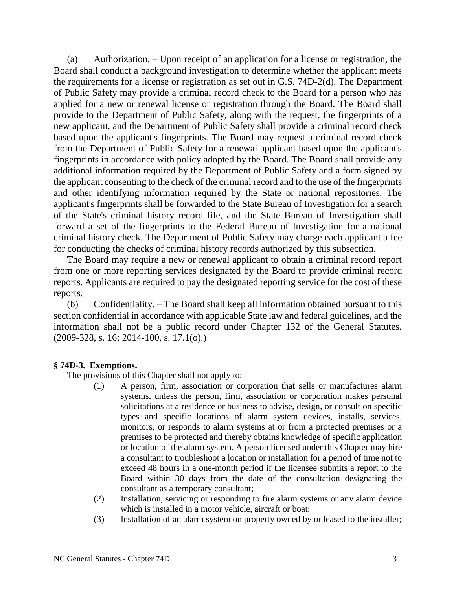(a) Authorization. – Upon receipt of an application for a license or registration, the Board shall conduct a background investigation to determine whether the applicant meets the requirements for a license or registration as set out in G.S. 74D-2(d). The Department of Public Safety may provide a criminal record check to the Board for a person who has applied for a new or renewal license or registration through the Board. The Board shall provide to the Department of Public Safety, along with the request, the fingerprints of a new applicant, and the Department of Public Safety shall provide a criminal record check based upon the applicant's fingerprints. The Board may request a criminal record check from the Department of Public Safety for a renewal applicant based upon the applicant's fingerprints in accordance with policy adopted by the Board. The Board shall provide any additional information required by the Department of Public Safety and a form signed by the applicant consenting to the check of the criminal record and to the use of the fingerprints and other identifying information required by the State or national repositories. The applicant's fingerprints shall be forwarded to the State Bureau of Investigation for a search of the State's criminal history record file, and the State Bureau of Investigation shall forward a set of the fingerprints to the Federal Bureau of Investigation for a national criminal history check. The Department of Public Safety may charge each applicant a fee for conducting the checks of criminal history records authorized by this subsection.

The Board may require a new or renewal applicant to obtain a criminal record report from one or more reporting services designated by the Board to provide criminal record reports. Applicants are required to pay the designated reporting service for the cost of these reports.

(b) Confidentiality. – The Board shall keep all information obtained pursuant to this section confidential in accordance with applicable State law and federal guidelines, and the information shall not be a public record under Chapter 132 of the General Statutes. (2009-328, s. 16; 2014-100, s. 17.1(o).)

## **§ 74D-3. Exemptions.**

The provisions of this Chapter shall not apply to:

- (1) A person, firm, association or corporation that sells or manufactures alarm systems, unless the person, firm, association or corporation makes personal solicitations at a residence or business to advise, design, or consult on specific types and specific locations of alarm system devices, installs, services, monitors, or responds to alarm systems at or from a protected premises or a premises to be protected and thereby obtains knowledge of specific application or location of the alarm system. A person licensed under this Chapter may hire a consultant to troubleshoot a location or installation for a period of time not to exceed 48 hours in a one-month period if the licensee submits a report to the Board within 30 days from the date of the consultation designating the consultant as a temporary consultant;
- (2) Installation, servicing or responding to fire alarm systems or any alarm device which is installed in a motor vehicle, aircraft or boat;
- (3) Installation of an alarm system on property owned by or leased to the installer;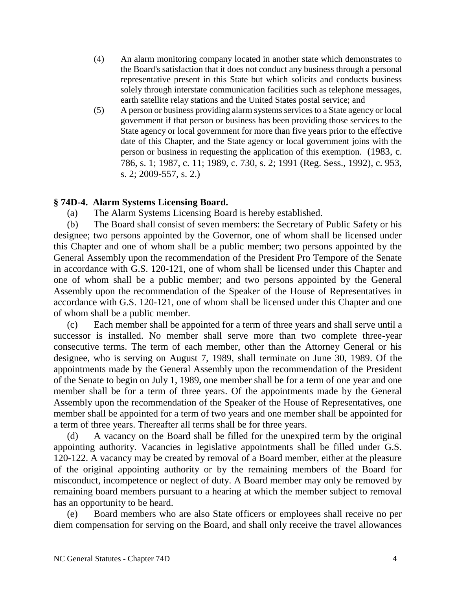- (4) An alarm monitoring company located in another state which demonstrates to the Board's satisfaction that it does not conduct any business through a personal representative present in this State but which solicits and conducts business solely through interstate communication facilities such as telephone messages, earth satellite relay stations and the United States postal service; and
- (5) A person or business providing alarm systems services to a State agency or local government if that person or business has been providing those services to the State agency or local government for more than five years prior to the effective date of this Chapter, and the State agency or local government joins with the person or business in requesting the application of this exemption. (1983, c. 786, s. 1; 1987, c. 11; 1989, c. 730, s. 2; 1991 (Reg. Sess., 1992), c. 953, s. 2; 2009-557, s. 2.)

# **§ 74D-4. Alarm Systems Licensing Board.**

(a) The Alarm Systems Licensing Board is hereby established.

(b) The Board shall consist of seven members: the Secretary of Public Safety or his designee; two persons appointed by the Governor, one of whom shall be licensed under this Chapter and one of whom shall be a public member; two persons appointed by the General Assembly upon the recommendation of the President Pro Tempore of the Senate in accordance with G.S. 120-121, one of whom shall be licensed under this Chapter and one of whom shall be a public member; and two persons appointed by the General Assembly upon the recommendation of the Speaker of the House of Representatives in accordance with G.S. 120-121, one of whom shall be licensed under this Chapter and one of whom shall be a public member.

(c) Each member shall be appointed for a term of three years and shall serve until a successor is installed. No member shall serve more than two complete three-year consecutive terms. The term of each member, other than the Attorney General or his designee, who is serving on August 7, 1989, shall terminate on June 30, 1989. Of the appointments made by the General Assembly upon the recommendation of the President of the Senate to begin on July 1, 1989, one member shall be for a term of one year and one member shall be for a term of three years. Of the appointments made by the General Assembly upon the recommendation of the Speaker of the House of Representatives, one member shall be appointed for a term of two years and one member shall be appointed for a term of three years. Thereafter all terms shall be for three years.

(d) A vacancy on the Board shall be filled for the unexpired term by the original appointing authority. Vacancies in legislative appointments shall be filled under G.S. 120-122. A vacancy may be created by removal of a Board member, either at the pleasure of the original appointing authority or by the remaining members of the Board for misconduct, incompetence or neglect of duty. A Board member may only be removed by remaining board members pursuant to a hearing at which the member subject to removal has an opportunity to be heard.

(e) Board members who are also State officers or employees shall receive no per diem compensation for serving on the Board, and shall only receive the travel allowances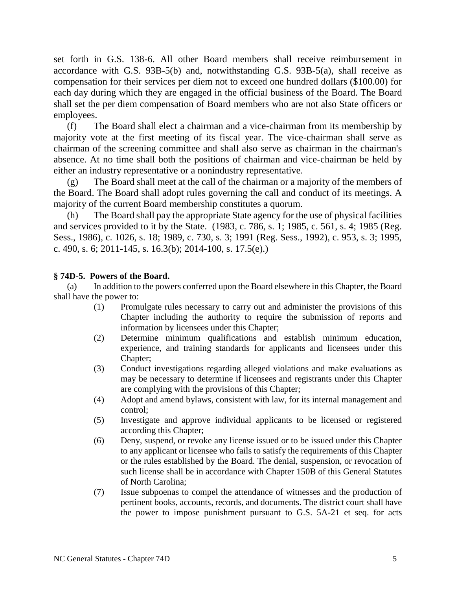set forth in G.S. 138-6. All other Board members shall receive reimbursement in accordance with G.S. 93B-5(b) and, notwithstanding G.S. 93B-5(a), shall receive as compensation for their services per diem not to exceed one hundred dollars (\$100.00) for each day during which they are engaged in the official business of the Board. The Board shall set the per diem compensation of Board members who are not also State officers or employees.

(f) The Board shall elect a chairman and a vice-chairman from its membership by majority vote at the first meeting of its fiscal year. The vice-chairman shall serve as chairman of the screening committee and shall also serve as chairman in the chairman's absence. At no time shall both the positions of chairman and vice-chairman be held by either an industry representative or a nonindustry representative.

(g) The Board shall meet at the call of the chairman or a majority of the members of the Board. The Board shall adopt rules governing the call and conduct of its meetings. A majority of the current Board membership constitutes a quorum.

The Board shall pay the appropriate State agency for the use of physical facilities and services provided to it by the State. (1983, c. 786, s. 1; 1985, c. 561, s. 4; 1985 (Reg. Sess., 1986), c. 1026, s. 18; 1989, c. 730, s. 3; 1991 (Reg. Sess., 1992), c. 953, s. 3; 1995, c. 490, s. 6; 2011-145, s. 16.3(b); 2014-100, s. 17.5(e).)

# **§ 74D-5. Powers of the Board.**

(a) In addition to the powers conferred upon the Board elsewhere in this Chapter, the Board shall have the power to:

- (1) Promulgate rules necessary to carry out and administer the provisions of this Chapter including the authority to require the submission of reports and information by licensees under this Chapter;
- (2) Determine minimum qualifications and establish minimum education, experience, and training standards for applicants and licensees under this Chapter;
- (3) Conduct investigations regarding alleged violations and make evaluations as may be necessary to determine if licensees and registrants under this Chapter are complying with the provisions of this Chapter;
- (4) Adopt and amend bylaws, consistent with law, for its internal management and control;
- (5) Investigate and approve individual applicants to be licensed or registered according this Chapter;
- (6) Deny, suspend, or revoke any license issued or to be issued under this Chapter to any applicant or licensee who fails to satisfy the requirements of this Chapter or the rules established by the Board. The denial, suspension, or revocation of such license shall be in accordance with Chapter 150B of this General Statutes of North Carolina;
- (7) Issue subpoenas to compel the attendance of witnesses and the production of pertinent books, accounts, records, and documents. The district court shall have the power to impose punishment pursuant to G.S. 5A-21 et seq. for acts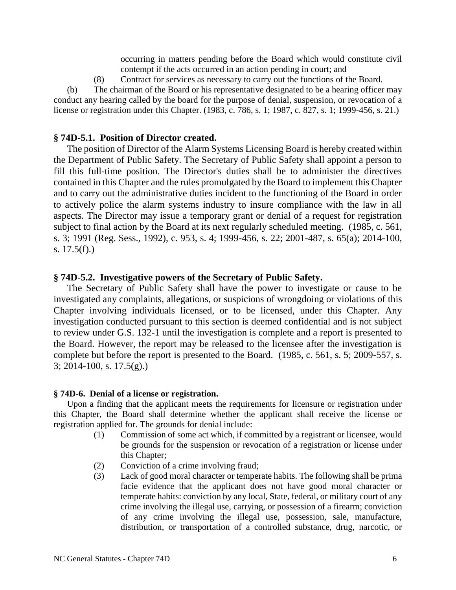occurring in matters pending before the Board which would constitute civil contempt if the acts occurred in an action pending in court; and

(8) Contract for services as necessary to carry out the functions of the Board.

(b) The chairman of the Board or his representative designated to be a hearing officer may conduct any hearing called by the board for the purpose of denial, suspension, or revocation of a license or registration under this Chapter. (1983, c. 786, s. 1; 1987, c. 827, s. 1; 1999-456, s. 21.)

### **§ 74D-5.1. Position of Director created.**

The position of Director of the Alarm Systems Licensing Board is hereby created within the Department of Public Safety. The Secretary of Public Safety shall appoint a person to fill this full-time position. The Director's duties shall be to administer the directives contained in this Chapter and the rules promulgated by the Board to implement this Chapter and to carry out the administrative duties incident to the functioning of the Board in order to actively police the alarm systems industry to insure compliance with the law in all aspects. The Director may issue a temporary grant or denial of a request for registration subject to final action by the Board at its next regularly scheduled meeting. (1985, c. 561, s. 3; 1991 (Reg. Sess., 1992), c. 953, s. 4; 1999-456, s. 22; 2001-487, s. 65(a); 2014-100, s.  $17.5(f)$ .)

### **§ 74D-5.2. Investigative powers of the Secretary of Public Safety.**

The Secretary of Public Safety shall have the power to investigate or cause to be investigated any complaints, allegations, or suspicions of wrongdoing or violations of this Chapter involving individuals licensed, or to be licensed, under this Chapter. Any investigation conducted pursuant to this section is deemed confidential and is not subject to review under G.S. 132-1 until the investigation is complete and a report is presented to the Board. However, the report may be released to the licensee after the investigation is complete but before the report is presented to the Board. (1985, c. 561, s. 5; 2009-557, s. 3; 2014-100, s. 17.5(g).)

#### **§ 74D-6. Denial of a license or registration.**

Upon a finding that the applicant meets the requirements for licensure or registration under this Chapter, the Board shall determine whether the applicant shall receive the license or registration applied for. The grounds for denial include:

- (1) Commission of some act which, if committed by a registrant or licensee, would be grounds for the suspension or revocation of a registration or license under this Chapter;
- (2) Conviction of a crime involving fraud;
- (3) Lack of good moral character or temperate habits. The following shall be prima facie evidence that the applicant does not have good moral character or temperate habits: conviction by any local, State, federal, or military court of any crime involving the illegal use, carrying, or possession of a firearm; conviction of any crime involving the illegal use, possession, sale, manufacture, distribution, or transportation of a controlled substance, drug, narcotic, or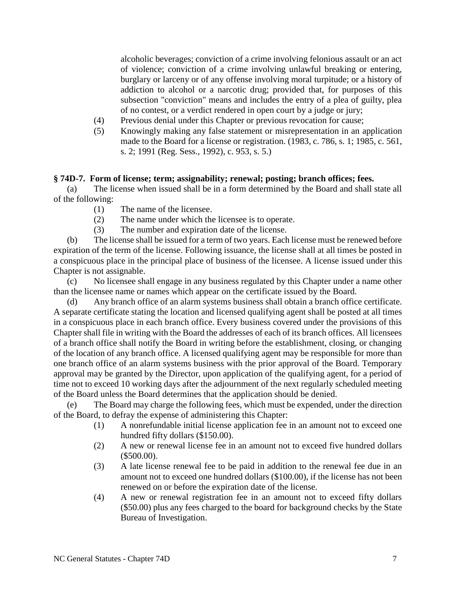alcoholic beverages; conviction of a crime involving felonious assault or an act of violence; conviction of a crime involving unlawful breaking or entering, burglary or larceny or of any offense involving moral turpitude; or a history of addiction to alcohol or a narcotic drug; provided that, for purposes of this subsection "conviction" means and includes the entry of a plea of guilty, plea of no contest, or a verdict rendered in open court by a judge or jury;

- (4) Previous denial under this Chapter or previous revocation for cause;
- (5) Knowingly making any false statement or misrepresentation in an application made to the Board for a license or registration. (1983, c. 786, s. 1; 1985, c. 561, s. 2; 1991 (Reg. Sess., 1992), c. 953, s. 5.)

## **§ 74D-7. Form of license; term; assignability; renewal; posting; branch offices; fees.**

(a) The license when issued shall be in a form determined by the Board and shall state all of the following:

- (1) The name of the licensee.
- (2) The name under which the licensee is to operate.
- (3) The number and expiration date of the license.

(b) The license shall be issued for a term of two years. Each license must be renewed before expiration of the term of the license. Following issuance, the license shall at all times be posted in a conspicuous place in the principal place of business of the licensee. A license issued under this Chapter is not assignable.

(c) No licensee shall engage in any business regulated by this Chapter under a name other than the licensee name or names which appear on the certificate issued by the Board.

(d) Any branch office of an alarm systems business shall obtain a branch office certificate. A separate certificate stating the location and licensed qualifying agent shall be posted at all times in a conspicuous place in each branch office. Every business covered under the provisions of this Chapter shall file in writing with the Board the addresses of each of its branch offices. All licensees of a branch office shall notify the Board in writing before the establishment, closing, or changing of the location of any branch office. A licensed qualifying agent may be responsible for more than one branch office of an alarm systems business with the prior approval of the Board. Temporary approval may be granted by the Director, upon application of the qualifying agent, for a period of time not to exceed 10 working days after the adjournment of the next regularly scheduled meeting of the Board unless the Board determines that the application should be denied.

(e) The Board may charge the following fees, which must be expended, under the direction of the Board, to defray the expense of administering this Chapter:

- (1) A nonrefundable initial license application fee in an amount not to exceed one hundred fifty dollars (\$150.00).
- (2) A new or renewal license fee in an amount not to exceed five hundred dollars (\$500.00).
- (3) A late license renewal fee to be paid in addition to the renewal fee due in an amount not to exceed one hundred dollars (\$100.00), if the license has not been renewed on or before the expiration date of the license.
- (4) A new or renewal registration fee in an amount not to exceed fifty dollars (\$50.00) plus any fees charged to the board for background checks by the State Bureau of Investigation.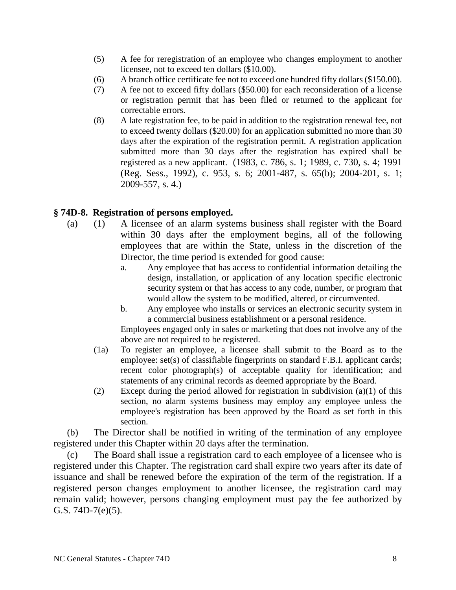- (5) A fee for reregistration of an employee who changes employment to another licensee, not to exceed ten dollars (\$10.00).
- (6) A branch office certificate fee not to exceed one hundred fifty dollars (\$150.00).
- (7) A fee not to exceed fifty dollars (\$50.00) for each reconsideration of a license or registration permit that has been filed or returned to the applicant for correctable errors.
- (8) A late registration fee, to be paid in addition to the registration renewal fee, not to exceed twenty dollars (\$20.00) for an application submitted no more than 30 days after the expiration of the registration permit. A registration application submitted more than 30 days after the registration has expired shall be registered as a new applicant. (1983, c. 786, s. 1; 1989, c. 730, s. 4; 1991 (Reg. Sess., 1992), c. 953, s. 6; 2001-487, s. 65(b); 2004-201, s. 1; 2009-557, s. 4.)

# **§ 74D-8. Registration of persons employed.**

- (a) (1) A licensee of an alarm systems business shall register with the Board within 30 days after the employment begins, all of the following employees that are within the State, unless in the discretion of the Director, the time period is extended for good cause:
	- a. Any employee that has access to confidential information detailing the design, installation, or application of any location specific electronic security system or that has access to any code, number, or program that would allow the system to be modified, altered, or circumvented.
	- b. Any employee who installs or services an electronic security system in a commercial business establishment or a personal residence.

Employees engaged only in sales or marketing that does not involve any of the above are not required to be registered.

- (1a) To register an employee, a licensee shall submit to the Board as to the employee: set(s) of classifiable fingerprints on standard F.B.I. applicant cards; recent color photograph(s) of acceptable quality for identification; and statements of any criminal records as deemed appropriate by the Board.
- (2) Except during the period allowed for registration in subdivision (a)(1) of this section, no alarm systems business may employ any employee unless the employee's registration has been approved by the Board as set forth in this section.

(b) The Director shall be notified in writing of the termination of any employee registered under this Chapter within 20 days after the termination.

(c) The Board shall issue a registration card to each employee of a licensee who is registered under this Chapter. The registration card shall expire two years after its date of issuance and shall be renewed before the expiration of the term of the registration. If a registered person changes employment to another licensee, the registration card may remain valid; however, persons changing employment must pay the fee authorized by G.S. 74D-7(e)(5).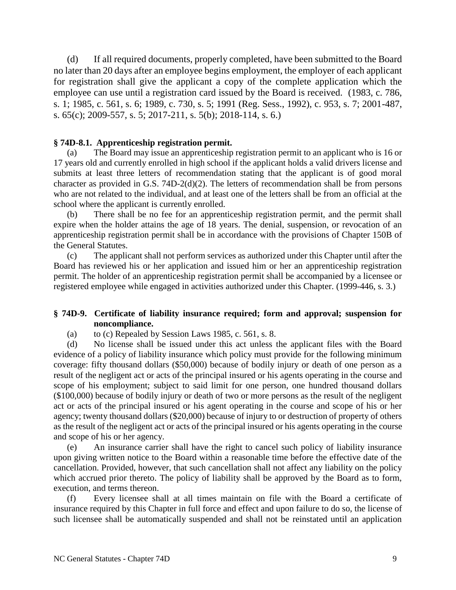(d) If all required documents, properly completed, have been submitted to the Board no later than 20 days after an employee begins employment, the employer of each applicant for registration shall give the applicant a copy of the complete application which the employee can use until a registration card issued by the Board is received. (1983, c. 786, s. 1; 1985, c. 561, s. 6; 1989, c. 730, s. 5; 1991 (Reg. Sess., 1992), c. 953, s. 7; 2001-487, s. 65(c); 2009-557, s. 5; 2017-211, s. 5(b); 2018-114, s. 6.)

# **§ 74D-8.1. Apprenticeship registration permit.**

(a) The Board may issue an apprenticeship registration permit to an applicant who is 16 or 17 years old and currently enrolled in high school if the applicant holds a valid drivers license and submits at least three letters of recommendation stating that the applicant is of good moral character as provided in G.S. 74D-2(d)(2). The letters of recommendation shall be from persons who are not related to the individual, and at least one of the letters shall be from an official at the school where the applicant is currently enrolled.

There shall be no fee for an apprenticeship registration permit, and the permit shall expire when the holder attains the age of 18 years. The denial, suspension, or revocation of an apprenticeship registration permit shall be in accordance with the provisions of Chapter 150B of the General Statutes.

(c) The applicant shall not perform services as authorized under this Chapter until after the Board has reviewed his or her application and issued him or her an apprenticeship registration permit. The holder of an apprenticeship registration permit shall be accompanied by a licensee or registered employee while engaged in activities authorized under this Chapter. (1999-446, s. 3.)

# **§ 74D-9. Certificate of liability insurance required; form and approval; suspension for noncompliance.**

(a) to (c) Repealed by Session Laws 1985, c. 561, s. 8.

(d) No license shall be issued under this act unless the applicant files with the Board evidence of a policy of liability insurance which policy must provide for the following minimum coverage: fifty thousand dollars (\$50,000) because of bodily injury or death of one person as a result of the negligent act or acts of the principal insured or his agents operating in the course and scope of his employment; subject to said limit for one person, one hundred thousand dollars (\$100,000) because of bodily injury or death of two or more persons as the result of the negligent act or acts of the principal insured or his agent operating in the course and scope of his or her agency; twenty thousand dollars (\$20,000) because of injury to or destruction of property of others as the result of the negligent act or acts of the principal insured or his agents operating in the course and scope of his or her agency.

(e) An insurance carrier shall have the right to cancel such policy of liability insurance upon giving written notice to the Board within a reasonable time before the effective date of the cancellation. Provided, however, that such cancellation shall not affect any liability on the policy which accrued prior thereto. The policy of liability shall be approved by the Board as to form, execution, and terms thereon.

(f) Every licensee shall at all times maintain on file with the Board a certificate of insurance required by this Chapter in full force and effect and upon failure to do so, the license of such licensee shall be automatically suspended and shall not be reinstated until an application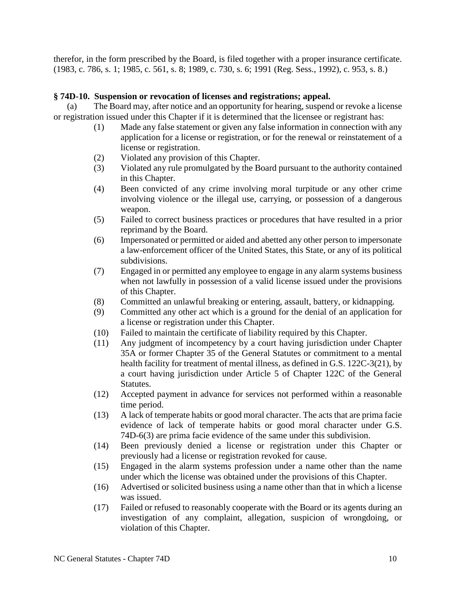therefor, in the form prescribed by the Board, is filed together with a proper insurance certificate. (1983, c. 786, s. 1; 1985, c. 561, s. 8; 1989, c. 730, s. 6; 1991 (Reg. Sess., 1992), c. 953, s. 8.)

## **§ 74D-10. Suspension or revocation of licenses and registrations; appeal.**

(a) The Board may, after notice and an opportunity for hearing, suspend or revoke a license or registration issued under this Chapter if it is determined that the licensee or registrant has:

- (1) Made any false statement or given any false information in connection with any application for a license or registration, or for the renewal or reinstatement of a license or registration.
- (2) Violated any provision of this Chapter.
- (3) Violated any rule promulgated by the Board pursuant to the authority contained in this Chapter.
- (4) Been convicted of any crime involving moral turpitude or any other crime involving violence or the illegal use, carrying, or possession of a dangerous weapon.
- (5) Failed to correct business practices or procedures that have resulted in a prior reprimand by the Board.
- (6) Impersonated or permitted or aided and abetted any other person to impersonate a law-enforcement officer of the United States, this State, or any of its political subdivisions.
- (7) Engaged in or permitted any employee to engage in any alarm systems business when not lawfully in possession of a valid license issued under the provisions of this Chapter.
- (8) Committed an unlawful breaking or entering, assault, battery, or kidnapping.
- (9) Committed any other act which is a ground for the denial of an application for a license or registration under this Chapter.
- (10) Failed to maintain the certificate of liability required by this Chapter.
- (11) Any judgment of incompetency by a court having jurisdiction under Chapter 35A or former Chapter 35 of the General Statutes or commitment to a mental health facility for treatment of mental illness, as defined in G.S. 122C-3(21), by a court having jurisdiction under Article 5 of Chapter 122C of the General Statutes.
- (12) Accepted payment in advance for services not performed within a reasonable time period.
- (13) A lack of temperate habits or good moral character. The acts that are prima facie evidence of lack of temperate habits or good moral character under G.S. 74D-6(3) are prima facie evidence of the same under this subdivision.
- (14) Been previously denied a license or registration under this Chapter or previously had a license or registration revoked for cause.
- (15) Engaged in the alarm systems profession under a name other than the name under which the license was obtained under the provisions of this Chapter.
- (16) Advertised or solicited business using a name other than that in which a license was issued.
- (17) Failed or refused to reasonably cooperate with the Board or its agents during an investigation of any complaint, allegation, suspicion of wrongdoing, or violation of this Chapter.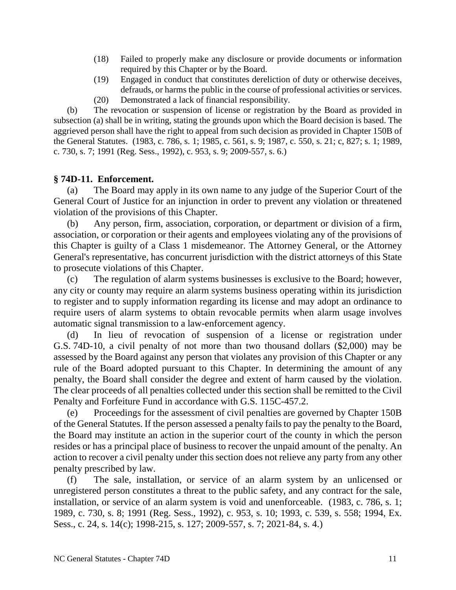- (18) Failed to properly make any disclosure or provide documents or information required by this Chapter or by the Board.
- (19) Engaged in conduct that constitutes dereliction of duty or otherwise deceives, defrauds, or harms the public in the course of professional activities or services.
- (20) Demonstrated a lack of financial responsibility.

(b) The revocation or suspension of license or registration by the Board as provided in subsection (a) shall be in writing, stating the grounds upon which the Board decision is based. The aggrieved person shall have the right to appeal from such decision as provided in Chapter 150B of the General Statutes. (1983, c. 786, s. 1; 1985, c. 561, s. 9; 1987, c. 550, s. 21; c, 827; s. 1; 1989, c. 730, s. 7; 1991 (Reg. Sess., 1992), c. 953, s. 9; 2009-557, s. 6.)

# **§ 74D-11. Enforcement.**

(a) The Board may apply in its own name to any judge of the Superior Court of the General Court of Justice for an injunction in order to prevent any violation or threatened violation of the provisions of this Chapter.

(b) Any person, firm, association, corporation, or department or division of a firm, association, or corporation or their agents and employees violating any of the provisions of this Chapter is guilty of a Class 1 misdemeanor. The Attorney General, or the Attorney General's representative, has concurrent jurisdiction with the district attorneys of this State to prosecute violations of this Chapter.

(c) The regulation of alarm systems businesses is exclusive to the Board; however, any city or county may require an alarm systems business operating within its jurisdiction to register and to supply information regarding its license and may adopt an ordinance to require users of alarm systems to obtain revocable permits when alarm usage involves automatic signal transmission to a law-enforcement agency.

(d) In lieu of revocation of suspension of a license or registration under G.S. 74D-10, a civil penalty of not more than two thousand dollars (\$2,000) may be assessed by the Board against any person that violates any provision of this Chapter or any rule of the Board adopted pursuant to this Chapter. In determining the amount of any penalty, the Board shall consider the degree and extent of harm caused by the violation. The clear proceeds of all penalties collected under this section shall be remitted to the Civil Penalty and Forfeiture Fund in accordance with G.S. 115C-457.2.

(e) Proceedings for the assessment of civil penalties are governed by Chapter 150B of the General Statutes. If the person assessed a penalty fails to pay the penalty to the Board, the Board may institute an action in the superior court of the county in which the person resides or has a principal place of business to recover the unpaid amount of the penalty. An action to recover a civil penalty under this section does not relieve any party from any other penalty prescribed by law.

(f) The sale, installation, or service of an alarm system by an unlicensed or unregistered person constitutes a threat to the public safety, and any contract for the sale, installation, or service of an alarm system is void and unenforceable. (1983, c. 786, s. 1; 1989, c. 730, s. 8; 1991 (Reg. Sess., 1992), c. 953, s. 10; 1993, c. 539, s. 558; 1994, Ex. Sess., c. 24, s. 14(c); 1998-215, s. 127; 2009-557, s. 7; 2021-84, s. 4.)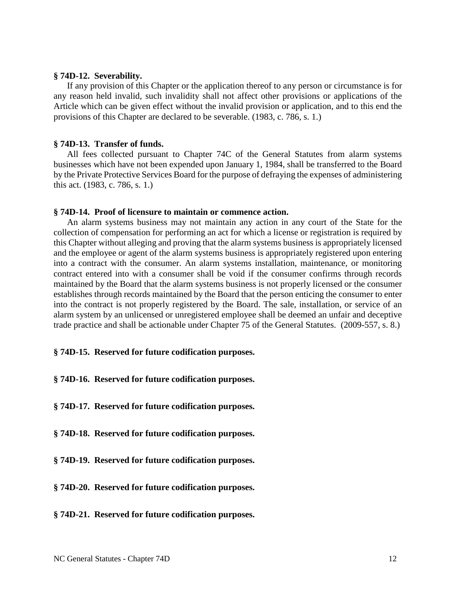#### **§ 74D-12. Severability.**

If any provision of this Chapter or the application thereof to any person or circumstance is for any reason held invalid, such invalidity shall not affect other provisions or applications of the Article which can be given effect without the invalid provision or application, and to this end the provisions of this Chapter are declared to be severable. (1983, c. 786, s. 1.)

### **§ 74D-13. Transfer of funds.**

All fees collected pursuant to Chapter 74C of the General Statutes from alarm systems businesses which have not been expended upon January 1, 1984, shall be transferred to the Board by the Private Protective Services Board for the purpose of defraying the expenses of administering this act. (1983, c. 786, s. 1.)

#### **§ 74D-14. Proof of licensure to maintain or commence action.**

An alarm systems business may not maintain any action in any court of the State for the collection of compensation for performing an act for which a license or registration is required by this Chapter without alleging and proving that the alarm systems business is appropriately licensed and the employee or agent of the alarm systems business is appropriately registered upon entering into a contract with the consumer. An alarm systems installation, maintenance, or monitoring contract entered into with a consumer shall be void if the consumer confirms through records maintained by the Board that the alarm systems business is not properly licensed or the consumer establishes through records maintained by the Board that the person enticing the consumer to enter into the contract is not properly registered by the Board. The sale, installation, or service of an alarm system by an unlicensed or unregistered employee shall be deemed an unfair and deceptive trade practice and shall be actionable under Chapter 75 of the General Statutes. (2009-557, s. 8.)

#### **§ 74D-15. Reserved for future codification purposes.**

- **§ 74D-16. Reserved for future codification purposes.**
- **§ 74D-17. Reserved for future codification purposes.**
- **§ 74D-18. Reserved for future codification purposes.**
- **§ 74D-19. Reserved for future codification purposes.**
- **§ 74D-20. Reserved for future codification purposes.**
- **§ 74D-21. Reserved for future codification purposes.**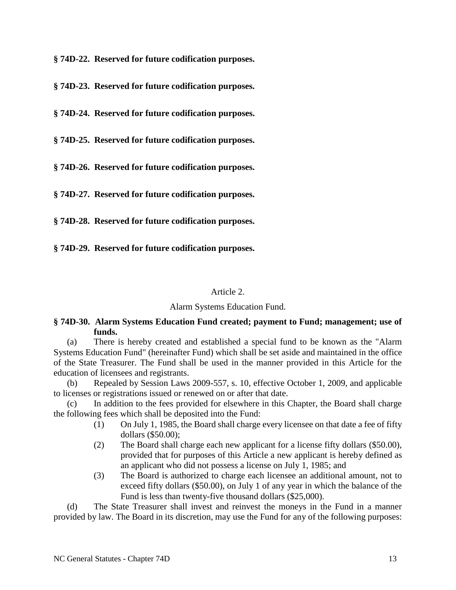**§ 74D-22. Reserved for future codification purposes.**

**§ 74D-23. Reserved for future codification purposes.**

**§ 74D-24. Reserved for future codification purposes.**

**§ 74D-25. Reserved for future codification purposes.**

**§ 74D-26. Reserved for future codification purposes.**

**§ 74D-27. Reserved for future codification purposes.**

**§ 74D-28. Reserved for future codification purposes.**

**§ 74D-29. Reserved for future codification purposes.**

### Article 2.

## Alarm Systems Education Fund.

# **§ 74D-30. Alarm Systems Education Fund created; payment to Fund; management; use of funds.**

(a) There is hereby created and established a special fund to be known as the "Alarm Systems Education Fund" (hereinafter Fund) which shall be set aside and maintained in the office of the State Treasurer. The Fund shall be used in the manner provided in this Article for the education of licensees and registrants.

(b) Repealed by Session Laws 2009-557, s. 10, effective October 1, 2009, and applicable to licenses or registrations issued or renewed on or after that date.

(c) In addition to the fees provided for elsewhere in this Chapter, the Board shall charge the following fees which shall be deposited into the Fund:

- (1) On July 1, 1985, the Board shall charge every licensee on that date a fee of fifty dollars (\$50.00);
- (2) The Board shall charge each new applicant for a license fifty dollars (\$50.00), provided that for purposes of this Article a new applicant is hereby defined as an applicant who did not possess a license on July 1, 1985; and
- (3) The Board is authorized to charge each licensee an additional amount, not to exceed fifty dollars (\$50.00), on July 1 of any year in which the balance of the Fund is less than twenty-five thousand dollars (\$25,000).

(d) The State Treasurer shall invest and reinvest the moneys in the Fund in a manner provided by law. The Board in its discretion, may use the Fund for any of the following purposes: